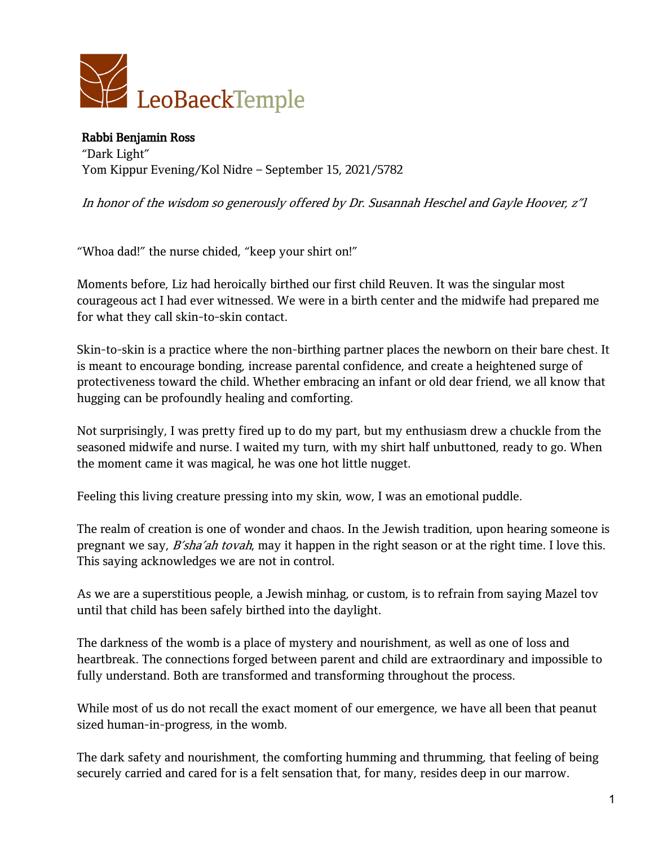

Rabbi Benjamin Ross "Dark Light" Yom Kippur Evening/Kol Nidre – September 15, 2021/5782

In honor of the wisdom so generously offered by Dr. Susannah Heschel and Gayle Hoover, <sup>z</sup>"l

"Whoa dad!" the nurse chided, "keep your shirt on!"

Moments before, Liz had heroically birthed our first child Reuven. It was the singular most courageous act I had ever witnessed. We were in a birth center and the midwife had prepared me for what they call skin-to-skin contact.

Skin-to-skin is a practice where the non-birthing partner places the newborn on their bare chest. It is meant to encourage bonding, increase parental confidence, and create a heightened surge of protectiveness toward the child. Whether embracing an infant or old dear friend, we all know that hugging can be profoundly healing and comforting.

Not surprisingly, I was pretty fired up to do my part, but my enthusiasm drew a chuckle from the seasoned midwife and nurse. I waited my turn, with my shirt half unbuttoned, ready to go. When the moment came it was magical, he was one hot little nugget.

Feeling this living creature pressing into my skin, wow, I was an emotional puddle.

The realm of creation is one of wonder and chaos. In the Jewish tradition, upon hearing someone is pregnant we say, *B'sha'ah tovah*, may it happen in the right season or at the right time. I love this. This saying acknowledges we are not in control.

As we are a superstitious people, a Jewish minhag, or custom, is to refrain from saying Mazel tov until that child has been safely birthed into the daylight.

The darkness of the womb is a place of mystery and nourishment, as well as one of loss and heartbreak. The connections forged between parent and child are extraordinary and impossible to fully understand. Both are transformed and transforming throughout the process.

While most of us do not recall the exact moment of our emergence, we have all been that peanut sized human-in-progress, in the womb.

The dark safety and nourishment, the comforting humming and thrumming, that feeling of being securely carried and cared for is a felt sensation that, for many, resides deep in our marrow.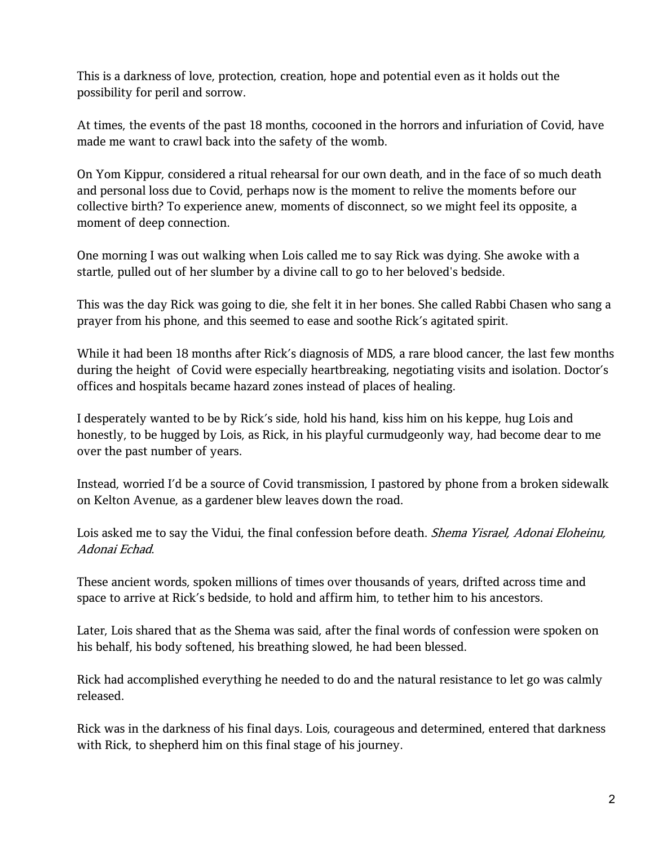This is a darkness of love, protection, creation, hope and potential even as it holds out the possibility for peril and sorrow.

At times, the events of the past 18 months, cocooned in the horrors and infuriation of Covid, have made me want to crawl back into the safety of the womb.

On Yom Kippur, considered a ritual rehearsal for our own death, and in the face of so much death and personal loss due to Covid, perhaps now is the moment to relive the moments before our collective birth? To experience anew, moments of disconnect, so we might feel its opposite, a moment of deep connection.

One morning I was out walking when Lois called me to say Rick was dying. She awoke with a startle, pulled out of her slumber by a divine call to go to her beloved's bedside.

This was the day Rick was going to die, she felt it in her bones. She called Rabbi Chasen who sang a prayer from his phone, and this seemed to ease and soothe Rick's agitated spirit.

While it had been 18 months after Rick's diagnosis of MDS, a rare blood cancer, the last few months during the height of Covid were especially heartbreaking, negotiating visits and isolation. Doctor's offices and hospitals became hazard zones instead of places of healing.

I desperately wanted to be by Rick's side, hold his hand, kiss him on his keppe, hug Lois and honestly, to be hugged by Lois, as Rick, in his playful curmudgeonly way, had become dear to me over the past number of years.

Instead, worried I'd be a source of Covid transmission, I pastored by phone from a broken sidewalk on Kelton Avenue, as a gardener blew leaves down the road.

Lois asked me to say the Vidui, the final confession before death. *Shema Yisrael, Adonai Eloheinu*, Adonai Echad.

These ancient words, spoken millions of times over thousands of years, drifted across time and space to arrive at Rick's bedside, to hold and affirm him, to tether him to his ancestors.

Later, Lois shared that as the Shema was said, after the final words of confession were spoken on his behalf, his body softened, his breathing slowed, he had been blessed.

Rick had accomplished everything he needed to do and the natural resistance to let go was calmly released.

Rick was in the darkness of his final days. Lois, courageous and determined, entered that darkness with Rick, to shepherd him on this final stage of his journey.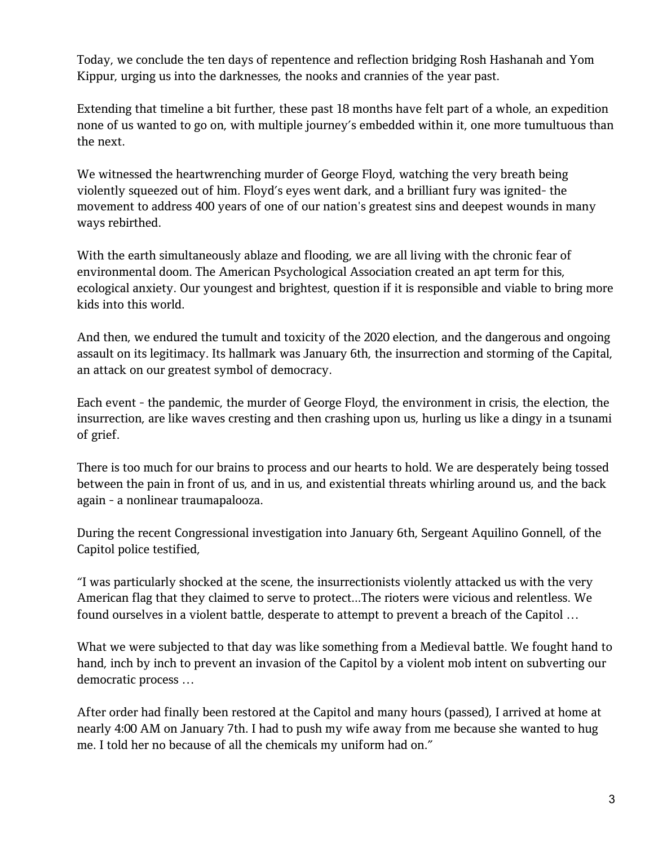Today, we conclude the ten days of repentence and reflection bridging Rosh Hashanah and Yom Kippur, urging us into the darknesses, the nooks and crannies of the year past.

Extending that timeline a bit further, these past 18 months have felt part of a whole, an expedition none of us wanted to go on, with multiple journey's embedded within it, one more tumultuous than the next.

We witnessed the heartwrenching murder of George Floyd, watching the very breath being violently squeezed out of him. Floyd's eyes went dark, and a brilliant fury was ignited- the movement to address 400 years of one of our nation's greatest sins and deepest wounds in many ways rebirthed.

With the earth simultaneously ablaze and flooding, we are all living with the chronic fear of environmental doom. The American Psychological Association created an apt term for this, ecological anxiety. Our youngest and brightest, question if it is responsible and viable to bring more kids into this world.

And then, we endured the tumult and toxicity of the 2020 election, and the dangerous and ongoing assault on its legitimacy. Its hallmark was January 6th, the insurrection and storming of the Capital, an attack on our greatest symbol of democracy.

Each event - the pandemic, the murder of George Floyd, the environment in crisis, the election, the insurrection, are like waves cresting and then crashing upon us, hurling us like a dingy in a tsunami of grief.

There is too much for our brains to process and our hearts to hold. We are desperately being tossed between the pain in front of us, and in us, and existential threats whirling around us, and the back again - a nonlinear traumapalooza.

During the recent Congressional investigation into January 6th, Sergeant Aquilino Gonnell, of the Capitol police testified,

"I was particularly shocked at the scene, the insurrectionists violently attacked us with the very American flag that they claimed to serve to protect...The rioters were vicious and relentless. We found ourselves in a violent battle, desperate to attempt to prevent a breach of the Capitol …

What we were subjected to that day was like something from a Medieval battle. We fought hand to hand, inch by inch to prevent an invasion of the Capitol by a violent mob intent on subverting our democratic process …

After order had finally been restored at the Capitol and many hours (passed), I arrived at home at nearly 4:00 AM on January 7th. I had to push my wife away from me because she wanted to hug me. I told her no because of all the chemicals my uniform had on."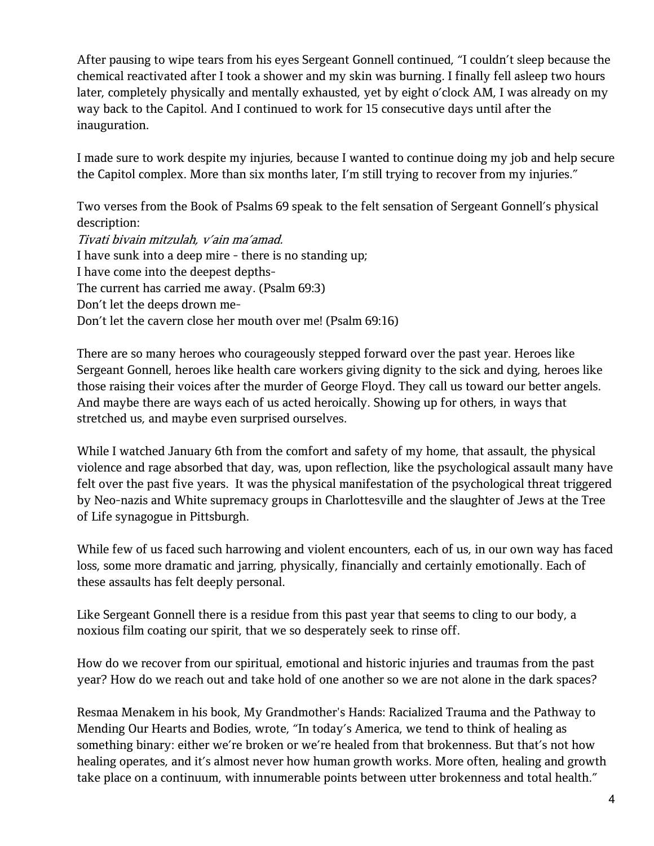After pausing to wipe tears from his eyes Sergeant Gonnell continued, "I couldn't sleep because the chemical reactivated after I took a shower and my skin was burning. I finally fell asleep two hours later, completely physically and mentally exhausted, yet by eight o'clock AM, I was already on my way back to the Capitol. And I continued to work for 15 consecutive days until after the inauguration.

I made sure to work despite my injuries, because I wanted to continue doing my job and help secure the Capitol complex. More than six months later, I'm still trying to recover from my injuries."

Two verses from the Book of Psalms 69 speak to the felt sensation of Sergeant Gonnell's physical description: Tivati bivain mitzulah, <sup>v</sup>'ain ma'amad. I have sunk into a deep mire - there is no standing up; I have come into the deepest depths-The current has carried me away. (Psalm 69:3) Don't let the deeps drown me-Don't let the cavern close her mouth over me! (Psalm 69:16)

There are so many heroes who courageously stepped forward over the past year. Heroes like Sergeant Gonnell, heroes like health care workers giving dignity to the sick and dying, heroes like those raising their voices after the murder of George Floyd. They call us toward our better angels. And maybe there are ways each of us acted heroically. Showing up for others, in ways that stretched us, and maybe even surprised ourselves.

While I watched January 6th from the comfort and safety of my home, that assault, the physical violence and rage absorbed that day, was, upon reflection, like the psychological assault many have felt over the past five years. It was the physical manifestation of the psychological threat triggered by Neo-nazis and White supremacy groups in Charlottesville and the slaughter of Jews at the Tree of Life synagogue in Pittsburgh.

While few of us faced such harrowing and violent encounters, each of us, in our own way has faced loss, some more dramatic and jarring, physically, financially and certainly emotionally. Each of these assaults has felt deeply personal.

Like Sergeant Gonnell there is a residue from this past year that seems to cling to our body, a noxious film coating our spirit, that we so desperately seek to rinse off.

How do we recover from our spiritual, emotional and historic injuries and traumas from the past year? How do we reach out and take hold of one another so we are not alone in the dark spaces?

Resmaa Menakem in his book, My Grandmother's Hands: Racialized Trauma and the Pathway to Mending Our Hearts and Bodies, wrote, "In today's America, we tend to think of healing as something binary: either we're broken or we're healed from that brokenness. But that's not how healing operates, and it's almost never how human growth works. More often, healing and growth take place on a continuum, with innumerable points between utter brokenness and total health."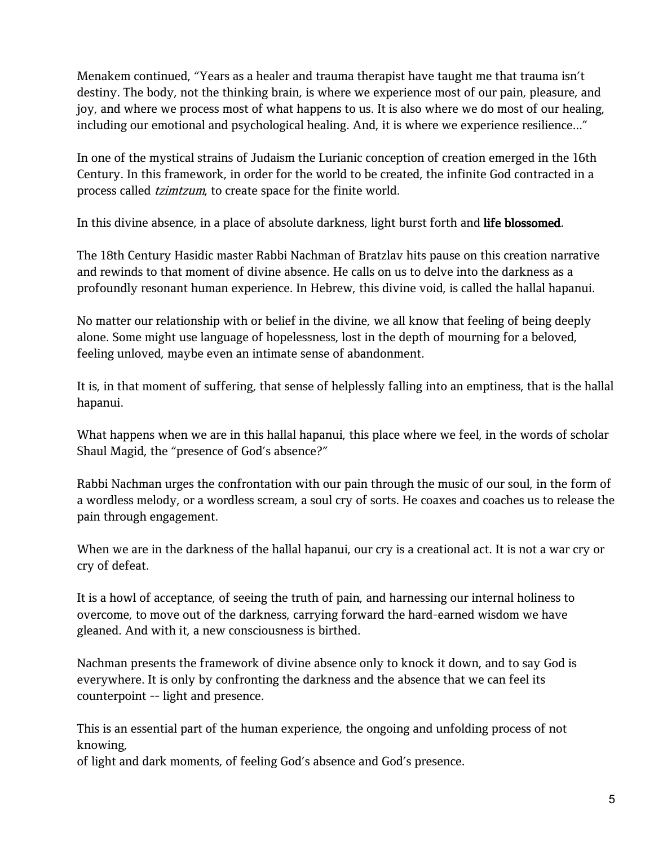Menakem continued, "Years as a healer and trauma therapist have taught me that trauma isn't destiny. The body, not the thinking brain, is where we experience most of our pain, pleasure, and joy, and where we process most of what happens to us. It is also where we do most of our healing, including our emotional and psychological healing. And, it is where we experience resilience..."

In one of the mystical strains of Judaism the Lurianic conception of creation emerged in the 16th Century. In this framework, in order for the world to be created, the infinite God contracted in a process called tzimtzum, to create space for the finite world.

In this divine absence, in a place of absolute darkness, light burst forth and life blossomed.

The 18th Century Hasidic master Rabbi Nachman of Bratzlav hits pause on this creation narrative and rewinds to that moment of divine absence. He calls on us to delve into the darkness as a profoundly resonant human experience. In Hebrew, this divine void, is called the hallal hapanui.

No matter our relationship with or belief in the divine, we all know that feeling of being deeply alone. Some might use language of hopelessness, lost in the depth of mourning for a beloved, feeling unloved, maybe even an intimate sense of abandonment.

It is, in that moment of suffering, that sense of helplessly falling into an emptiness, that is the hallal hapanui.

What happens when we are in this hallal hapanui, this place where we feel, in the words of scholar Shaul Magid, the "presence of God's absence?"

Rabbi Nachman urges the confrontation with our pain through the music of our soul, in the form of a wordless melody, or a wordless scream, a soul cry of sorts. He coaxes and coaches us to release the pain through engagement.

When we are in the darkness of the hallal hapanui, our cry is a creational act. It is not a war cry or cry of defeat.

It is a howl of acceptance, of seeing the truth of pain, and harnessing our internal holiness to overcome, to move out of the darkness, carrying forward the hard-earned wisdom we have gleaned. And with it, a new consciousness is birthed.

Nachman presents the framework of divine absence only to knock it down, and to say God is everywhere. It is only by confronting the darkness and the absence that we can feel its counterpoint -- light and presence.

This is an essential part of the human experience, the ongoing and unfolding process of not knowing,

of light and dark moments, of feeling God's absence and God's presence.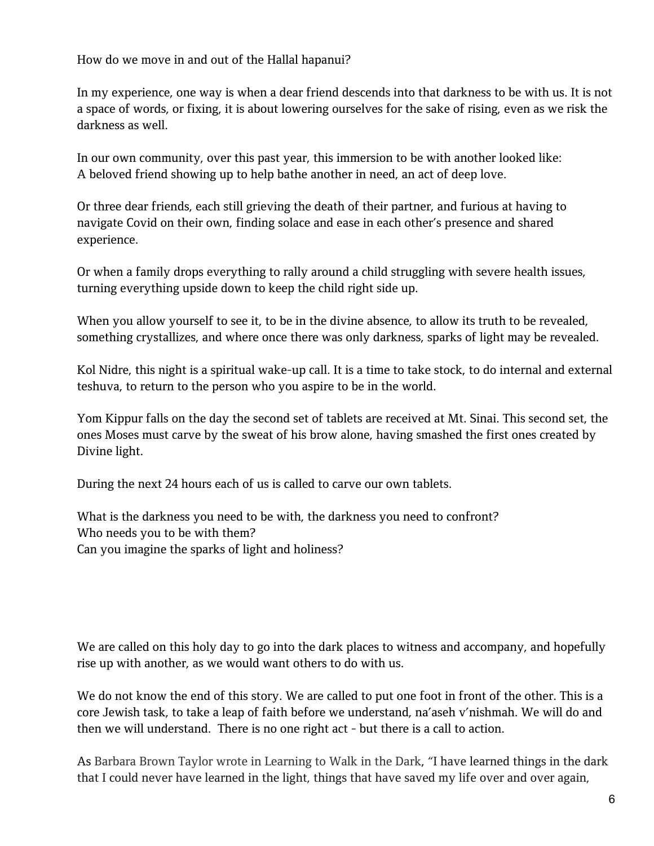How do we move in and out of the Hallal hapanui?

In my experience, one way is when a dear friend descends into that darkness to be with us. It is not a space of words, or fixing, it is about lowering ourselves for the sake of rising, even as we risk the darkness as well.

In our own community, over this past year, this immersion to be with another looked like: A beloved friend showing up to help bathe another in need, an act of deep love.

Or three dear friends, each still grieving the death of their partner, and furious at having to navigate Covid on their own, finding solace and ease in each other's presence and shared experience.

Or when a family drops everything to rally around a child struggling with severe health issues, turning everything upside down to keep the child right side up.

When you allow yourself to see it, to be in the divine absence, to allow its truth to be revealed, something crystallizes, and where once there was only darkness, sparks of light may be revealed.

Kol Nidre, this night is a spiritual wake-up call. It is a time to take stock, to do internal and external teshuva, to return to the person who you aspire to be in the world.

Yom Kippur falls on the day the second set of tablets are received at Mt. Sinai. This second set, the ones Moses must carve by the sweat of his brow alone, having smashed the first ones created by Divine light.

During the next 24 hours each of us is called to carve our own tablets.

What is the darkness you need to be with, the darkness you need to confront? Who needs you to be with them? Can you imagine the sparks of light and holiness?

We are called on this holy day to go into the dark places to witness and accompany, and hopefully rise up with another, as we would want others to do with us.

We do not know the end of this story. We are called to put one foot in front of the other. This is a core Jewish task, to take a leap of faith before we understand, na'aseh v'nishmah. We will do and then we will understand. There is no one right act - but there is a call to action.

As Barbara Brown Taylor wrote in Learning to Walk in the Dark, "I have learned things in the dark that I could never have learned in the light, things that have saved my life over and over again,